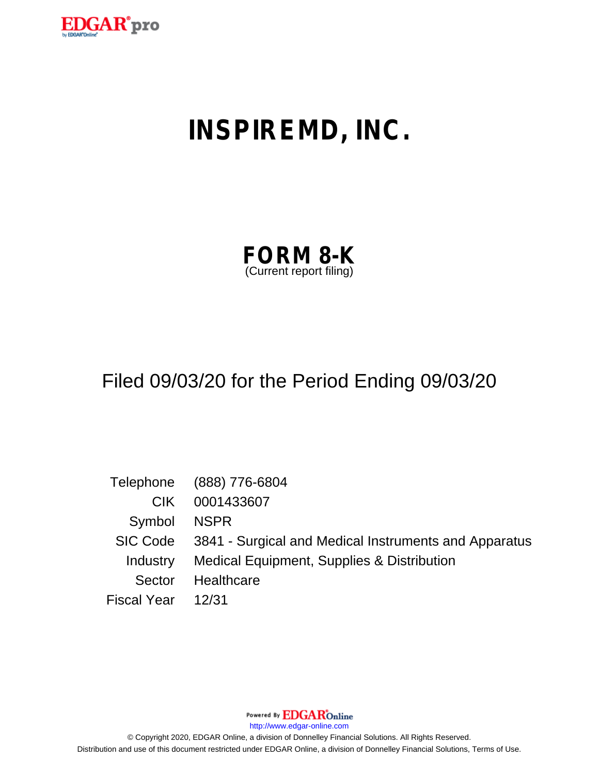

# **INSPIREMD, INC.**

| <b>FORM 8-K</b>         |  |
|-------------------------|--|
| (Current report filing) |  |

## Filed 09/03/20 for the Period Ending 09/03/20

|                   | Telephone (888) 776-6804                                       |
|-------------------|----------------------------------------------------------------|
| CIK.              | 0001433607                                                     |
| Symbol            | NSPR                                                           |
|                   | SIC Code 3841 - Surgical and Medical Instruments and Apparatus |
| Industry          | Medical Equipment, Supplies & Distribution                     |
| Sector            | Healthcare                                                     |
| Fiscal Year 12/31 |                                                                |

Powered By **EDGAR**Online

http://www.edgar-online.com

© Copyright 2020, EDGAR Online, a division of Donnelley Financial Solutions. All Rights Reserved. Distribution and use of this document restricted under EDGAR Online, a division of Donnelley Financial Solutions, Terms of Use.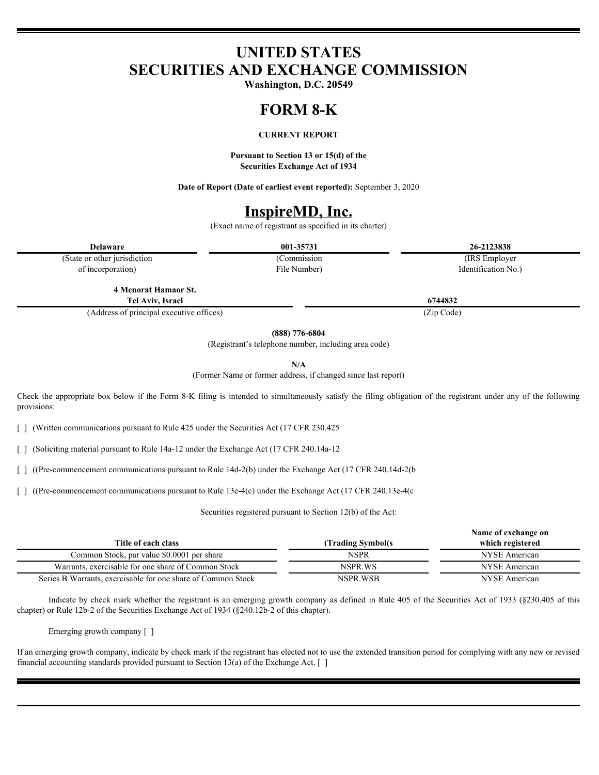## **UNITED STATES SECURITIES AND EXCHANGE COMMISSION**

**Washington, D.C. 20549**

#### **FORM 8-K**

### **CURRENT REPORT**

**Pursuant to Section 13 or 15(d) of the Securities Exchange Act of 1934**

**Date of Report (Date of earliest event reported):** September 3, 2020

## **InspireMD, Inc.**

(Exact name of registrant as specified in its charter)

File Number)

**Delaware 001-35731 26-2123838**

(Commission (IRS Employer

(State or other jurisdiction of incorporation)

> **4 Menorat Hamaor St. Tel Aviv,**

(Address of principal executive offices) (Zip Code)

**(888) 776-6804**

(Registrant's telephone number, including area code)

**N/A**

(Former Name or former address, if changed since last report)

Check Check **Form Check Check Check Check is the approximation** below it  $\frac{1}{100}$  **Check is the simultaneously satisfy the** *Security* **Check Check Check Check Check Check Check Check Check Check Check Check Check Check** provisions:

[ ] (Written communications pursuant to Rule 425 under the Securities Act (17 CFR 230.425)

[ ] (Soliciting material pursuant to Rule 14a-12 under the Exchange Act (17 CFR 240.14a-12)

[ ] ((Pre-commencement communications pursuant to Rule 14d-2(b) under the Exchange Act (17 CFR 240.14d-2(b

[ ] ((Pre-commencement communications pursuant to Rule 13e-4(c) under the Exchange Act (17 CFR 240.13e-4(c)

Securities registered pursuant to Section 12(b) of the Act:

|                                                              | Name of exchange on |                  |
|--------------------------------------------------------------|---------------------|------------------|
| Title of each class                                          | (Trading Symbol(s)  | which registered |
| Common Stock, par value \$0.0001 per share                   | <b>NSPR</b>         | NYSE American    |
| Warrants, exercisable for one share of Common Stock          | NSPR WS             | NYSE American    |
| Series B Warrants, exercisable for one share of Common Stock | NSPR.WSB            | NYSE American    |

Indicate by check mark whether the registrant is an emerging growth company as defined in Rule 405 of the Securities Act of 1933 (§230.405 of this chapter) or Rule 12b-2 of the Securities Exchange Act of 1934 (§240.12b-2 of this chapter).

Emerging growth company [ ]

If an emerging growth company, indicate by check mark if the registrant has elected not to use the extended transition period for complying with any new or revised financial accounting standards provided pursuant to Section 13(a) of the Exchange Act. [ ]

**Israel 6744832**

Identification No.)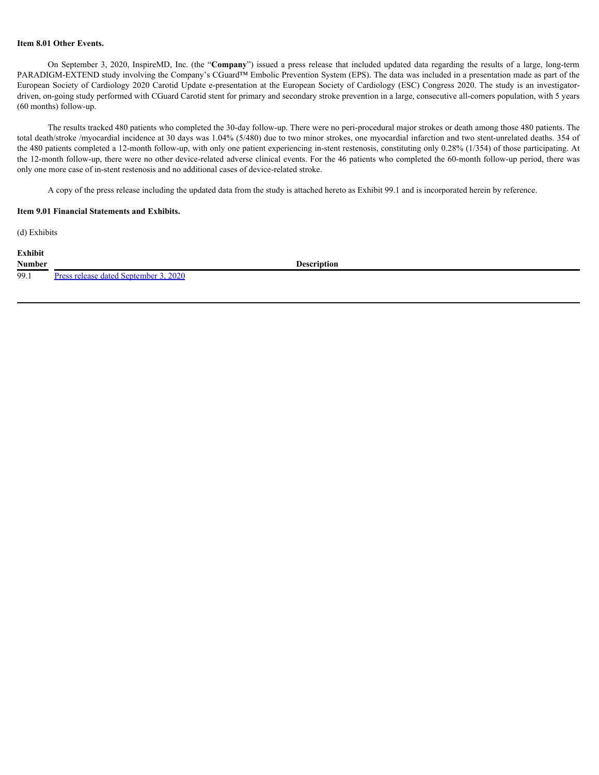### **Item 8.01 Other Events.**

On September 3, 2020, InspireMD, Inc. (the "**Company**") issued a press release that included updated data regarding the results of a large, long-term PARADIGM-EXTEND study involving the Company's CGuard™ Embolic Prevention System (EPS). The data was included in a presentation made as part of the European Society of Cardiology 2020 Carotid Update e-presentation at the European Society of Cardiology (ESC) Congress 2020. The study is an investigatordriven, on-going study performed with CGuard Carotid stent for primary and secondary stroke prevention in a large, consecutive all-comers population, with 5 years (60 months) follow-up.

The results tracked 480 patients who completed the 30-day follow-up. There were no peri-procedural major strokes or death among those 480 patients. The total death/stroke /myocardial incidence at 30 days was 1.04% (5/480) due to two minor strokes, one myocardial infarction and two stent-unrelated deaths. 354 of the 480 patients completed a 12-month follow-up, with only one patient experiencing in-stent restenosis, constituting only 0.28% (1/354) of those participating. At the 12-month follow-up, there were no other device-related adverse clinical events. For the 46 patients who completed the 60-month follow-up period, there was only one more case of in-stent restenosis and no additional cases of device-related stroke.

A copy of the press release including the updated data from the study is attached hereto as Exhibit 99.1 and is incorporated herein by reference.

#### **Item 9.01 Financial Statements and Exhibits.**

(d) Exhibits

**Exhibit**

99.1 [Press release dated September 3, 2020](#page-4-0)

**Number Description**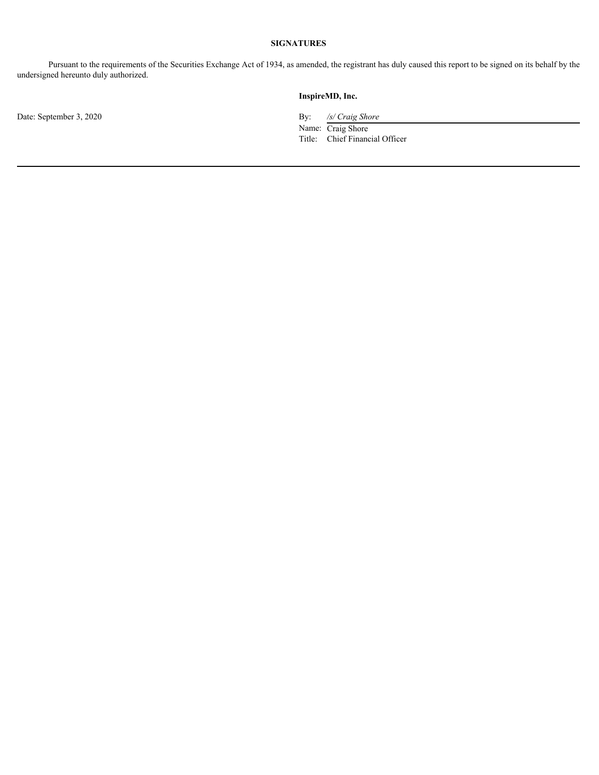### **SIGNATURES**

Pursuant to the requirements of the Securities Exchange Act of 1934, as amended, the registrant has duly caused this report to be signed on its behalf by the undersigned hereunto duly authorized.

Date: September 3, 2020 By: */s/ Craig Shore* 

#### **InspireMD, Inc.**

Name: Craig Shore Title: Chief Financial Officer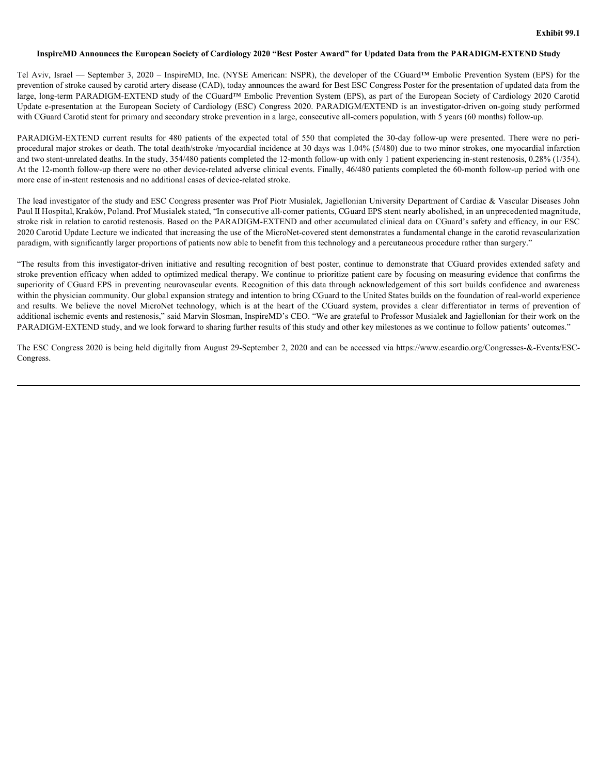#### <span id="page-4-0"></span>InspireMD Announces the European Society of Cardiology 2020 "Best Poster Award" for Updated Data from the PARADIGM-EXTEND **Study**

Tel Aviv, Israel — September 3, 2020 – InspireMD, Inc. (NYSE American: NSPR), the developer of the CGuard™ Embolic Prevention System (EPS) for the prevention of stroke caused by carotid artery disease (CAD), today announces the award for Best ESC Congress Poster for the presentation of updated data from the large, long-term PARADIGM-EXTEND study of the CGuard<sup>™</sup> Embolic Prevention System (EPS), as part of the European Society of Cardiology 2020 Carotid Update e-presentation at the European Society of Cardiology (ESC) Congress 2020. PARADIGM/EXTEND is an investigator-driven on-going study performed with CGuard Carotid stent for primary and secondary stroke prevention in a large, consecutive all-comers population, with 5 years (60 months) follow-up. Exhibit 99.1<br>
InspireMD Announces the European Society of Cardiology 2020 "Best Poster Award" for Updated Data from the PARADIGM-EXTEND Study<br>
Tel Aviv, Israel — September 3, 2020 – InspireMD, Inc. (NYSE American: NSPR), t

procedural major strokes or death. The total death/stroke /myocardial incidence at 30 days was 1.04% (5/480) due to two minor strokes, one myocardial infarction and two stent-unrelated deaths. In the study, 354/480 patients completed the 12-month follow-up with only 1 patient experiencing in-stent restenosis, 0.28% (1/354). At the 12-month follow-up there were no other device-related adverse clinical events. Finally, 46/480 patients completed the 60-month follow-up period with one more case of in-stent restenosis and no additional cases of device-related stroke.

The lead investigator of the study and ESC Congress presenter was Prof Piotr Musialek, Jagiellonian University Department of Cardiac & Vascular Diseases John Paul II Hospital, Kraków, Poland. Prof Musialek stated, "In consecutive all-comer patients, CGuard EPS stent nearly abolished, in an unprecedented magnitude, stroke risk in relation to carotid restenosis. Based on the PARADIGM-EXTEND and other accumulated clinical data on CGuard's safety and efficacy, in our ESC 2020 Carotid Update Lecture we indicated that increasing the use of the MicroNet-covered stent demonstrates a fundamental change in the carotid revascularization paradigm, with significantly larger proportions of patients now able to benefit from this technology and a percutaneous procedure rather than surgery."

**Example CMD Announces the European Society of Cardiology 2020 "Best Poster Award" for Updated Data from the PARADIGM-EXTEND Budy<br>Tel Avv., Israel -- September 3, 2020 - Inspired)D. I.c. (NYSE American: NSPR), the develop** stroke prevention efficacy when added to optimized medical therapy. We continue to prioritize patient care by focusing on measuring evidence that confirms the superiority of CGuard EPS in preventing neurovascular events. Recognition of this data through acknowledgement of this sort builds confidence and awareness within the physician community. Our global expansion strategy and intention to bring CGuard to the United States builds on the foundation of real-world experience **Exhibit 99.1** Endine 9.01 Ending 9.12 "Hest Four Award" for Update Data from the PARADIGN-LY. TTAN Study 9.12<br>Tel. Aviv. Intel. — September 3, 2000 – Inspirately, the (NYSE American NSPR), the developer of the Counter En additional ischemic events and restenosis," said Marvin Slosman, InspireMD's CEO. "We are grateful to Professor Musialek and Jagiellonian for their work on the PARADIGM-EXTEND study, and we look forward to sharing further results of this study and other key milestones as we continue to follow patients' outcomes."

The ESC Congress 2020 is being held digitally from August 29-September 2, 2020 and can be accessed via https://www.escardio.org/Congresses-&-Events/ESC-Congress.